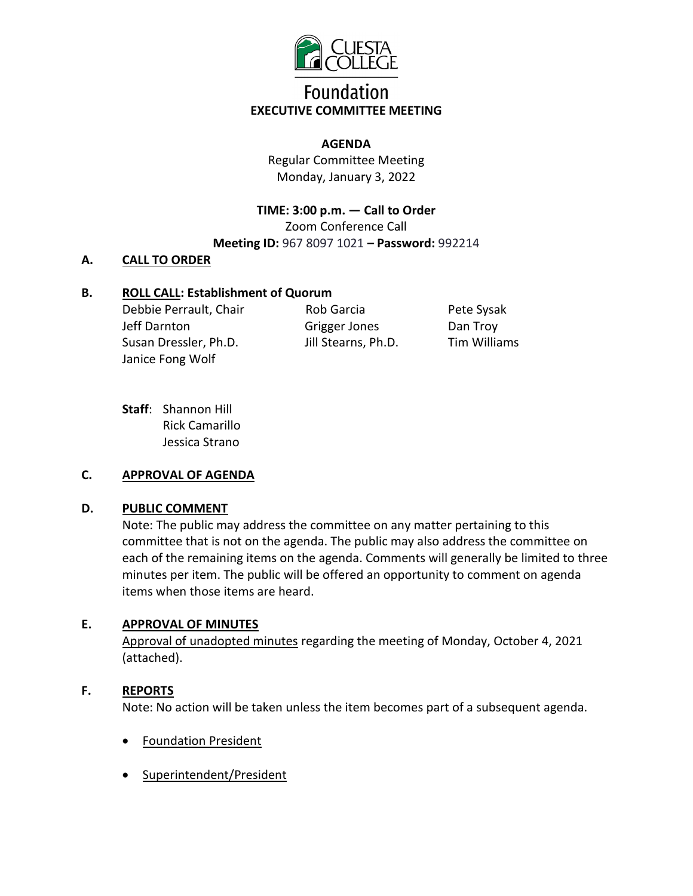

# **Foundation EXECUTIVE COMMITTEE MEETING**

#### **AGENDA**

Regular Committee Meeting Monday, January 3, 2022

**TIME: 3:00 p.m. — Call to Order**  Zoom Conference Call **Meeting ID:** 967 8097 1021 **– Password:** 992214

### **A. CALL TO ORDER**

### **B. ROLL CALL: Establishment of Quorum**

Debbie Perrault, Chair Jeff Darnton Susan Dressler, Ph.D. Janice Fong Wolf

Rob Garcia Grigger Jones Jill Stearns, Ph.D.

Pete Sysak Dan Troy Tim Williams

**Staff**: Shannon Hill Rick Camarillo Jessica Strano

### **C. APPROVAL OF AGENDA**

### **D. PUBLIC COMMENT**

Note: The public may address the committee on any matter pertaining to this committee that is not on the agenda. The public may also address the committee on each of the remaining items on the agenda. Comments will generally be limited to three minutes per item. The public will be offered an opportunity to comment on agenda items when those items are heard.

### **E. APPROVAL OF MINUTES**

Approval of unadopted minutes regarding the meeting of Monday, October 4, 2021 (attached).

### **F. REPORTS**

Note: No action will be taken unless the item becomes part of a subsequent agenda.

- Foundation President
- Superintendent/President